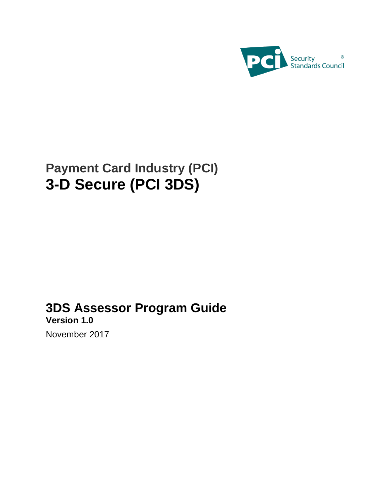

# **Payment Card Industry (PCI) 3-D Secure (PCI 3DS)**

# **3DS Assessor Program Guide Version 1.0**

November 2017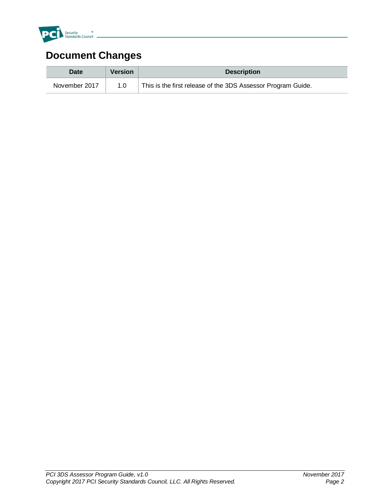

## **Document Changes**

| Date          | <b>Version</b> | <b>Description</b>                                           |
|---------------|----------------|--------------------------------------------------------------|
| November 2017 | 1.0            | This is the first release of the 3DS Assessor Program Guide. |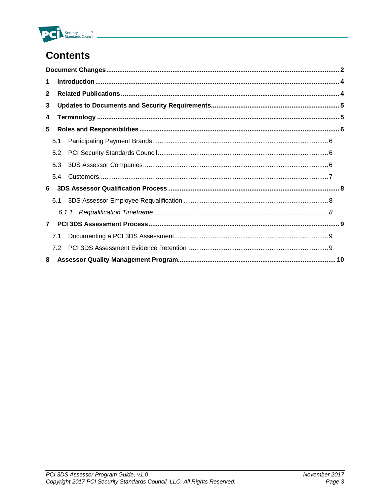

## **Contents**

| 1              |     |       |  |  |  |  |
|----------------|-----|-------|--|--|--|--|
| $\mathbf{2}$   |     |       |  |  |  |  |
| 3              |     |       |  |  |  |  |
| 4              |     |       |  |  |  |  |
| 5              |     |       |  |  |  |  |
|                | 5.1 |       |  |  |  |  |
|                | 5.2 |       |  |  |  |  |
|                | 5.3 |       |  |  |  |  |
|                | 54  |       |  |  |  |  |
| 6              |     |       |  |  |  |  |
|                | 6.1 |       |  |  |  |  |
|                |     | 6.1.1 |  |  |  |  |
| $\overline{7}$ |     |       |  |  |  |  |
|                | 7.1 |       |  |  |  |  |
|                | 72  |       |  |  |  |  |
| 8              |     |       |  |  |  |  |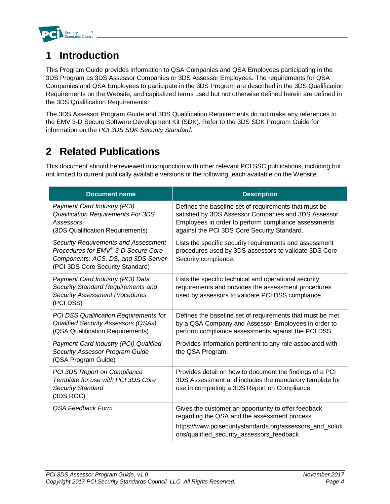

## **1 Introduction**

This Program Guide provides information to QSA Companies and QSA Employees participating in the 3DS Program as 3DS Assessor Companies or 3DS Assessor Employees. The requirements for QSA Companies and QSA Employees to participate in the 3DS Program are described in the 3DS Qualification Requirements on the Website, and capitalized terms used but not otherwise defined herein are defined in the 3DS Qualification Requirements.

The 3DS Assessor Program Guide and 3DS Qualification Requirements do not make any references to the EMV 3-D Secure Software Development Kit (SDK). Refer to the 3DS SDK Program Guide for information on the *PCI 3DS SDK Security Standard*.

### **2 Related Publications**

This document should be reviewed in conjunction with other relevant PCI SSC publications, including but not limited to current publically available versions of the following, each available on the Website.

| Document name                                                                                                                                                 | <b>Description</b>                                                                                                                                                                                                   |
|---------------------------------------------------------------------------------------------------------------------------------------------------------------|----------------------------------------------------------------------------------------------------------------------------------------------------------------------------------------------------------------------|
| Payment Card Industry (PCI)<br><b>Qualification Requirements For 3DS</b><br>Assessors<br>(3DS Qualification Requirements)                                     | Defines the baseline set of requirements that must be<br>satisfied by 3DS Assessor Companies and 3DS Assessor<br>Employees in order to perform compliance assessments<br>against the PCI 3DS Core Security Standard. |
| <b>Security Requirements and Assessment</b><br>Procedures for EMV® 3-D Secure Core<br>Components: ACS, DS, and 3DS Server<br>(PCI 3DS Core Security Standard) | Lists the specific security requirements and assessment<br>procedures used by 3DS assessors to validate 3DS Core<br>Security compliance.                                                                             |
| Payment Card Industry (PCI) Data<br>Security Standard Requirements and<br><b>Security Assessment Procedures</b><br>(PCI DSS)                                  | Lists the specific technical and operational security<br>requirements and provides the assessment procedures<br>used by assessors to validate PCI DSS compliance.                                                    |
| PCI DSS Qualification Requirements for<br><b>Qualified Security Assessors (QSAs)</b><br>(QSA Qualification Requirements)                                      | Defines the baseline set of requirements that must be met<br>by a QSA Company and Assessor-Employees in order to<br>perform compliance assessments against the PCI DSS.                                              |
| Payment Card Industry (PCI) Qualified<br><b>Security Assessor Program Guide</b><br>(QSA Program Guide)                                                        | Provides information pertinent to any role associated with<br>the QSA Program.                                                                                                                                       |
| PCI 3DS Report on Compliance<br>Template for use with PCI 3DS Core<br><b>Security Standard</b><br>(3DS ROC)                                                   | Provides detail on how to document the findings of a PCI<br>3DS Assessment and includes the mandatory template for<br>use in completing a 3DS Report on Compliance.                                                  |
| QSA Feedback Form                                                                                                                                             | Gives the customer an opportunity to offer feedback<br>regarding the QSA and the assessment process.                                                                                                                 |
|                                                                                                                                                               | https://www.pcisecuritystandards.org/assessors_and_soluti<br>ons/qualified_security_assessors_feedback                                                                                                               |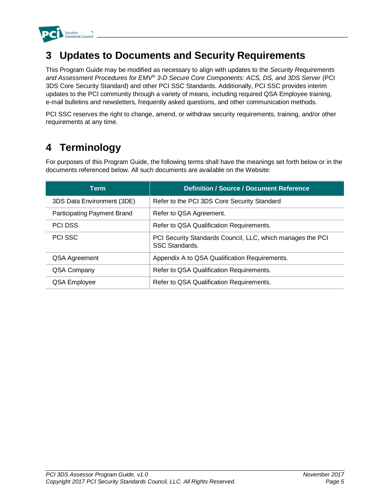

### **3 Updates to Documents and Security Requirements**

This Program Guide may be modified as necessary to align with updates to the *Security Requirements and Assessment Procedures for EMV® 3-D Secure Core Components: ACS, DS, and 3DS Server* (PCI 3DS Core Security Standard) and other PCI SSC Standards. Additionally, PCI SSC provides interim updates to the PCI community through a variety of means, including required QSA Employee training, e-mail bulletins and newsletters, frequently asked questions, and other communication methods.

PCI SSC reserves the right to change, amend, or withdraw security requirements, training, and/or other requirements at any time.

## **4 Terminology**

For purposes of this Program Guide, the following terms shall have the meanings set forth below or in the documents referenced below. All such documents are available on the Website:

| <b>Term</b>                 | <b>Definition / Source / Document Reference</b>                                    |
|-----------------------------|------------------------------------------------------------------------------------|
| 3DS Data Environment (3DE)  | Refer to the PCI 3DS Core Security Standard                                        |
| Participating Payment Brand | Refer to QSA Agreement.                                                            |
| <b>PCI DSS</b>              | Refer to QSA Qualification Requirements.                                           |
| <b>PCI SSC</b>              | PCI Security Standards Council, LLC, which manages the PCI<br><b>SSC Standards</b> |
| QSA Agreement               | Appendix A to QSA Qualification Requirements.                                      |
| QSA Company                 | Refer to QSA Qualification Requirements.                                           |
| QSA Employee                | Refer to QSA Qualification Requirements.                                           |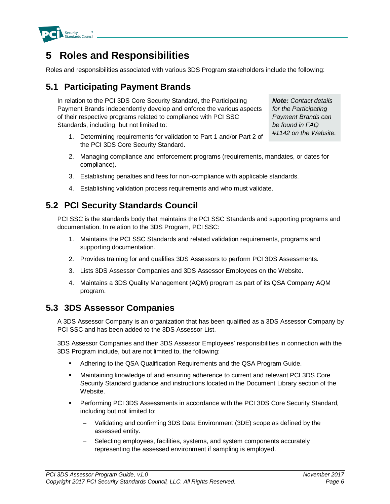

### **5 Roles and Responsibilities**

Roles and responsibilities associated with various 3DS Program stakeholders include the following:

### **5.1 Participating Payment Brands**

In relation to the PCI 3DS Core Security Standard, the Participating Payment Brands independently develop and enforce the various aspects of their respective programs related to compliance with PCI SSC Standards, including, but not limited to:

1. Determining requirements for validation to Part 1 and/or Part 2 of the PCI 3DS Core Security Standard.

*Note: Contact details for the Participating Payment Brands can be found in FAQ #1142 on the Website.*

- 2. Managing compliance and enforcement programs (requirements, mandates, or dates for compliance).
- 3. Establishing penalties and fees for non-compliance with applicable standards.
- 4. Establishing validation process requirements and who must validate.

#### **5.2 PCI Security Standards Council**

PCI SSC is the standards body that maintains the PCI SSC Standards and supporting programs and documentation. In relation to the 3DS Program, PCI SSC:

- 1. Maintains the PCI SSC Standards and related validation requirements, programs and supporting documentation.
- 2. Provides training for and qualifies 3DS Assessors to perform PCI 3DS Assessments.
- 3. Lists 3DS Assessor Companies and 3DS Assessor Employees on the Website.
- 4. Maintains a 3DS Quality Management (AQM) program as part of its QSA Company AQM program.

#### **5.3 3DS Assessor Companies**

A 3DS Assessor Company is an organization that has been qualified as a 3DS Assessor Company by PCI SSC and has been added to the 3DS Assessor List.

3DS Assessor Companies and their 3DS Assessor Employees' responsibilities in connection with the 3DS Program include, but are not limited to, the following:

- Adhering to the QSA Qualification Requirements and the QSA Program Guide.
- Maintaining knowledge of and ensuring adherence to current and relevant PCI 3DS Core Security Standard guidance and instructions located in the Document Library section of the Website.
- Performing PCI 3DS Assessments in accordance with the PCI 3DS Core Security Standard*,*  including but not limited to:
	- Validating and confirming 3DS Data Environment (3DE) scope as defined by the assessed entity.
	- Selecting employees, facilities, systems, and system components accurately representing the assessed environment if sampling is employed.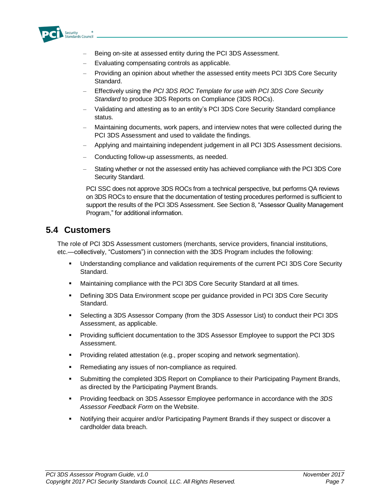

- Being on-site at assessed entity during the PCI 3DS Assessment.
- Evaluating compensating controls as applicable.
- Providing an opinion about whether the assessed entity meets PCI 3DS Core Security Standard.
- Effectively using the *PCI 3DS ROC Template for use with PCI 3DS Core Security Standard* to produce 3DS Reports on Compliance (3DS ROCs).
- Validating and attesting as to an entity's PCI 3DS Core Security Standard compliance status.
- Maintaining documents, work papers, and interview notes that were collected during the PCI 3DS Assessment and used to validate the findings.
- Applying and maintaining independent judgement in all PCI 3DS Assessment decisions.
- Conducting follow-up assessments, as needed.
- Stating whether or not the assessed entity has achieved compliance with the PCI 3DS Core Security Standard.

PCI SSC does not approve 3DS ROCs from a technical perspective, but performs QA reviews on 3DS ROCs to ensure that the documentation of testing procedures performed is sufficient to support the results of the PCI 3DS Assessment. See Section 8, "Assessor Quality Management Program," for additional information.

#### **5.4 Customers**

The role of PCI 3DS Assessment customers (merchants, service providers, financial institutions, etc.—collectively, "Customers") in connection with the 3DS Program includes the following:

- Understanding compliance and validation requirements of the current PCI 3DS Core Security Standard.
- Maintaining compliance with the PCI 3DS Core Security Standard at all times.
- Defining 3DS Data Environment scope per guidance provided in PCI 3DS Core Security Standard.
- Selecting a 3DS Assessor Company (from the 3DS Assessor List) to conduct their PCI 3DS Assessment, as applicable.
- Providing sufficient documentation to the 3DS Assessor Employee to support the PCI 3DS Assessment.
- **Providing related attestation (e.g., proper scoping and network segmentation).**
- **Remediating any issues of non-compliance as required.**
- Submitting the completed 3DS Report on Compliance to their Participating Payment Brands, as directed by the Participating Payment Brands.
- Providing feedback on 3DS Assessor Employee performance in accordance with the *3DS Assessor Feedback Form* on the Website.
- Notifying their acquirer and/or Participating Payment Brands if they suspect or discover a cardholder data breach.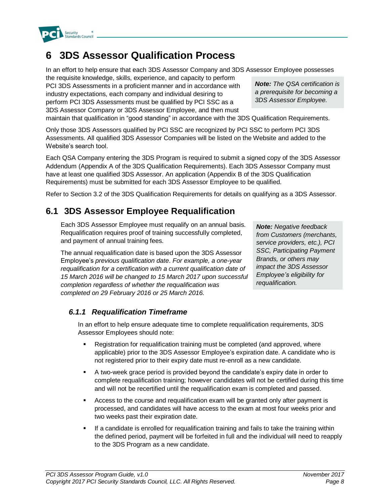

the requisite knowledge, skills, experience, and capacity to perform PCI 3DS Assessments in a proficient manner and in accordance with industry expectations, each company and individual desiring to perform PCI 3DS Assessments must be qualified by PCI SSC as a 3DS Assessor Company or 3DS Assessor Employee, and then must

**6 3DS Assessor Qualification Process**

maintain that qualification in "good standing" in accordance with the 3DS Qualification Requirements.

Only those 3DS Assessors qualified by PCI SSC are recognized by PCI SSC to perform PCI 3DS Assessments. All qualified 3DS Assessor Companies will be listed on the Website and added to the Website's search tool.

Each QSA Company entering the 3DS Program is required to submit a signed copy of the 3DS Assessor Addendum (Appendix A of the 3DS Qualification Requirements). Each 3DS Assessor Company must have at least one qualified 3DS Assessor. An application (Appendix B of the 3DS Qualification Requirements) must be submitted for each 3DS Assessor Employee to be qualified.

Refer to Section 3.2 of the 3DS Qualification Requirements for details on qualifying as a 3DS Assessor.

#### **6.1 3DS Assessor Employee Requalification**

Each 3DS Assessor Employee must requalify on an annual basis. Requalification requires proof of training successfully completed, and payment of annual training fees.

The annual requalification date is based upon the 3DS Assessor Employee's *previous qualification date*. *For example, a one-year requalification for a certification with a current qualification date of 15 March 2016 will be changed to 15 March 2017 upon successful completion regardless of whether the requalification was completed on 29 February 2016 or 25 March 2016.*

*Note: Negative feedback from Customers (merchants, service providers, etc.), PCI SSC, Participating Payment Brands, or others may impact the 3DS Assessor Employee's eligibility for requalification.*

#### *6.1.1 Requalification Timeframe*

In an effort to help ensure adequate time to complete requalification requirements, 3DS Assessor Employees should note:

- Registration for requalification training must be completed (and approved, where applicable) prior to the 3DS Assessor Employee's expiration date. A candidate who is not registered prior to their expiry date must re-enroll as a new candidate.
- A two-week grace period is provided beyond the candidate's expiry date in order to complete requalification training; however candidates will not be certified during this time and will not be recertified until the requalification exam is completed and passed.
- Access to the course and requalification exam will be granted only after payment is processed, and candidates will have access to the exam at most four weeks prior and two weeks past their expiration date.
- If a candidate is enrolled for requalification training and fails to take the training within the defined period, payment will be forfeited in full and the individual will need to reapply to the 3DS Program as a new candidate.



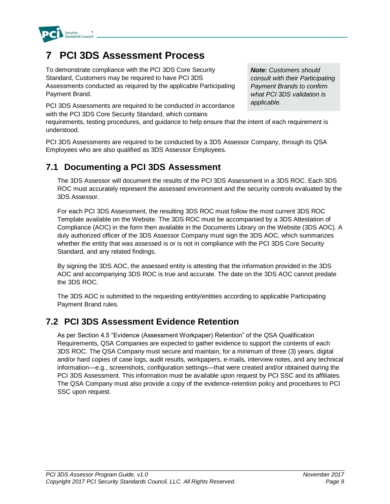

### **7 PCI 3DS Assessment Process**

To demonstrate compliance with the PCI 3DS Core Security Standard, Customers may be required to have PCI 3DS Assessments conducted as required by the applicable Participating Payment Brand.

PCI 3DS Assessments are required to be conducted in accordance with the PCI 3DS Core Security Standard, which contains

requirements, testing procedures, and guidance to help ensure that the intent of each requirement is understood.

PCI 3DS Assessments are required to be conducted by a 3DS Assessor Company, through its QSA Employees who are also qualified as 3DS Assessor Employees.

#### **7.1 Documenting a PCI 3DS Assessment**

The 3DS Assessor will document the results of the PCI 3DS Assessment in a 3DS ROC. Each 3DS ROC must accurately represent the assessed environment and the security controls evaluated by the 3DS Assessor.

For each PCI 3DS Assessment, the resulting 3DS ROC must follow the most current 3DS ROC Template available on the Website. The 3DS ROC must be accompanied by a 3DS Attestation of Compliance (AOC) in the form then available in the Documents Library on the Website (3DS AOC). A duly authorized officer of the 3DS Assessor Company must sign the 3DS AOC, which summarizes whether the entity that was assessed is or is not in compliance with the PCI 3DS Core Security Standard, and any related findings.

By signing the 3DS AOC, the assessed entity is attesting that the information provided in the 3DS AOC and accompanying 3DS ROC is true and accurate. The date on the 3DS AOC cannot predate the 3DS ROC.

The 3DS AOC is submitted to the requesting entity/entities according to applicable Participating Payment Brand rules.

### **7.2 PCI 3DS Assessment Evidence Retention**

As per Section 4.5 "Evidence (Assessment Workpaper) Retention" of the QSA Qualification Requirements, QSA Companies are expected to gather evidence to support the contents of each 3DS ROC. The QSA Company must secure and maintain, for a minimum of three (3) years, digital and/or hard copies of case logs, audit results, workpapers, e-mails, interview notes, and any technical information—e.g., screenshots, configuration settings—that were created and/or obtained during the PCI 3DS Assessment. This information must be available upon request by PCI SSC and its affiliates. The QSA Company must also provide a copy of the evidence-retention policy and procedures to PCI SSC upon request.

*Note: Customers should consult with their Participating Payment Brands to confirm what PCI 3DS validation is applicable.*